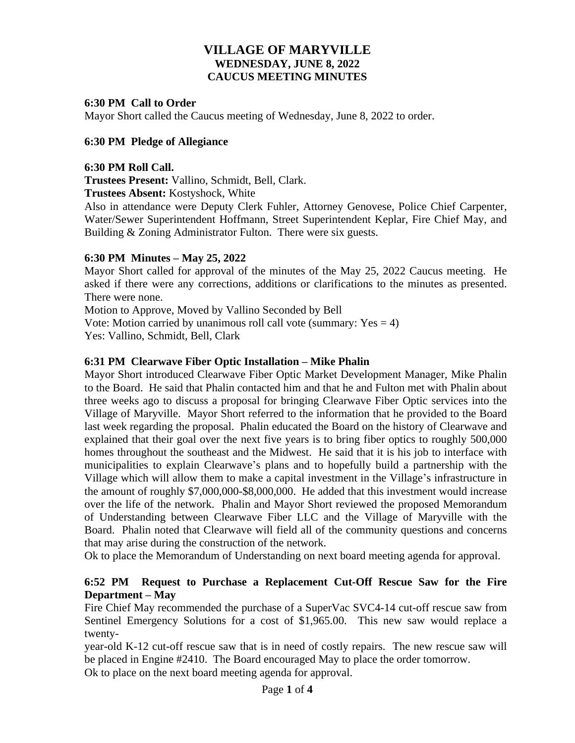# **VILLAGE OF MARYVILLE WEDNESDAY, JUNE 8, 2022 CAUCUS MEETING MINUTES**

### **6:30 PM Call to Order**

Mayor Short called the Caucus meeting of Wednesday, June 8, 2022 to order.

### **6:30 PM Pledge of Allegiance**

#### **6:30 PM Roll Call.**

**Trustees Present:** Vallino, Schmidt, Bell, Clark.

**Trustees Absent:** Kostyshock, White

Also in attendance were Deputy Clerk Fuhler, Attorney Genovese, Police Chief Carpenter, Water/Sewer Superintendent Hoffmann, Street Superintendent Keplar, Fire Chief May, and Building & Zoning Administrator Fulton. There were six guests.

#### **6:30 PM Minutes – May 25, 2022**

Mayor Short called for approval of the minutes of the May 25, 2022 Caucus meeting. He asked if there were any corrections, additions or clarifications to the minutes as presented. There were none.

Motion to Approve, Moved by Vallino Seconded by Bell

Vote: Motion carried by unanimous roll call vote (summary:  $Yes = 4$ ) Yes: Vallino, Schmidt, Bell, Clark

# **6:31 PM Clearwave Fiber Optic Installation – Mike Phalin**

Mayor Short introduced Clearwave Fiber Optic Market Development Manager, Mike Phalin to the Board. He said that Phalin contacted him and that he and Fulton met with Phalin about three weeks ago to discuss a proposal for bringing Clearwave Fiber Optic services into the Village of Maryville. Mayor Short referred to the information that he provided to the Board last week regarding the proposal. Phalin educated the Board on the history of Clearwave and explained that their goal over the next five years is to bring fiber optics to roughly 500,000 homes throughout the southeast and the Midwest. He said that it is his job to interface with municipalities to explain Clearwave's plans and to hopefully build a partnership with the Village which will allow them to make a capital investment in the Village's infrastructure in the amount of roughly \$7,000,000-\$8,000,000. He added that this investment would increase over the life of the network. Phalin and Mayor Short reviewed the proposed Memorandum of Understanding between Clearwave Fiber LLC and the Village of Maryville with the Board. Phalin noted that Clearwave will field all of the community questions and concerns that may arise during the construction of the network.

Ok to place the Memorandum of Understanding on next board meeting agenda for approval.

# **6:52 PM Request to Purchase a Replacement Cut-Off Rescue Saw for the Fire Department – May**

Fire Chief May recommended the purchase of a SuperVac SVC4-14 cut-off rescue saw from Sentinel Emergency Solutions for a cost of \$1,965.00. This new saw would replace a twenty-

year-old K-12 cut-off rescue saw that is in need of costly repairs. The new rescue saw will be placed in Engine #2410. The Board encouraged May to place the order tomorrow.

Ok to place on the next board meeting agenda for approval.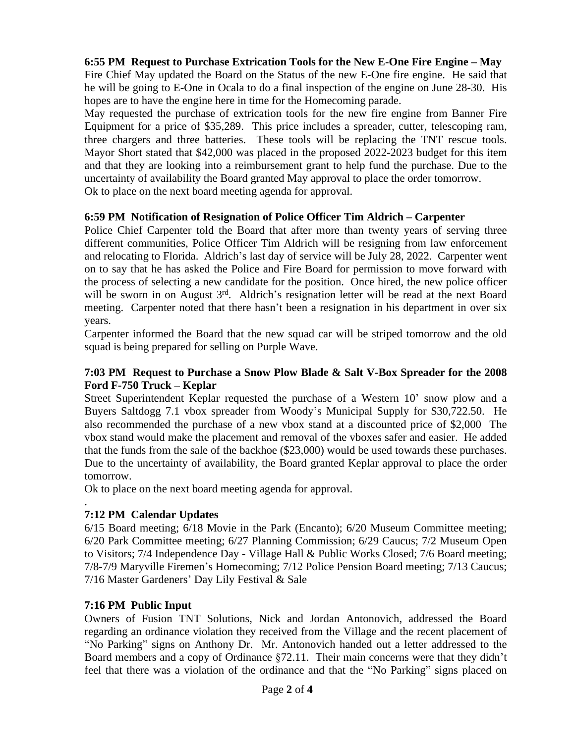# **6:55 PM Request to Purchase Extrication Tools for the New E-One Fire Engine – May**

Fire Chief May updated the Board on the Status of the new E-One fire engine. He said that he will be going to E-One in Ocala to do a final inspection of the engine on June 28-30. His hopes are to have the engine here in time for the Homecoming parade.

May requested the purchase of extrication tools for the new fire engine from Banner Fire Equipment for a price of \$35,289. This price includes a spreader, cutter, telescoping ram, three chargers and three batteries. These tools will be replacing the TNT rescue tools. Mayor Short stated that \$42,000 was placed in the proposed 2022-2023 budget for this item and that they are looking into a reimbursement grant to help fund the purchase. Due to the uncertainty of availability the Board granted May approval to place the order tomorrow. Ok to place on the next board meeting agenda for approval.

#### **6:59 PM Notification of Resignation of Police Officer Tim Aldrich – Carpenter**

Police Chief Carpenter told the Board that after more than twenty years of serving three different communities, Police Officer Tim Aldrich will be resigning from law enforcement and relocating to Florida. Aldrich's last day of service will be July 28, 2022. Carpenter went on to say that he has asked the Police and Fire Board for permission to move forward with the process of selecting a new candidate for the position. Once hired, the new police officer will be sworn in on August 3<sup>rd</sup>. Aldrich's resignation letter will be read at the next Board meeting. Carpenter noted that there hasn't been a resignation in his department in over six years.

Carpenter informed the Board that the new squad car will be striped tomorrow and the old squad is being prepared for selling on Purple Wave.

### **7:03 PM Request to Purchase a Snow Plow Blade & Salt V-Box Spreader for the 2008 Ford F-750 Truck – Keplar**

Street Superintendent Keplar requested the purchase of a Western 10' snow plow and a Buyers Saltdogg 7.1 vbox spreader from Woody's Municipal Supply for \$30,722.50. He also recommended the purchase of a new vbox stand at a discounted price of \$2,000 The vbox stand would make the placement and removal of the vboxes safer and easier. He added that the funds from the sale of the backhoe (\$23,000) would be used towards these purchases. Due to the uncertainty of availability, the Board granted Keplar approval to place the order tomorrow.

Ok to place on the next board meeting agenda for approval.

#### . **7:12 PM Calendar Updates**

6/15 Board meeting; 6/18 Movie in the Park (Encanto); 6/20 Museum Committee meeting; 6/20 Park Committee meeting; 6/27 Planning Commission; 6/29 Caucus; 7/2 Museum Open to Visitors; 7/4 Independence Day - Village Hall & Public Works Closed; 7/6 Board meeting; 7/8-7/9 Maryville Firemen's Homecoming; 7/12 Police Pension Board meeting; 7/13 Caucus; 7/16 Master Gardeners' Day Lily Festival & Sale

# **7:16 PM Public Input**

Owners of Fusion TNT Solutions, Nick and Jordan Antonovich, addressed the Board regarding an ordinance violation they received from the Village and the recent placement of "No Parking" signs on Anthony Dr. Mr. Antonovich handed out a letter addressed to the Board members and a copy of Ordinance  $\S 72.11$ . Their main concerns were that they didn't feel that there was a violation of the ordinance and that the "No Parking" signs placed on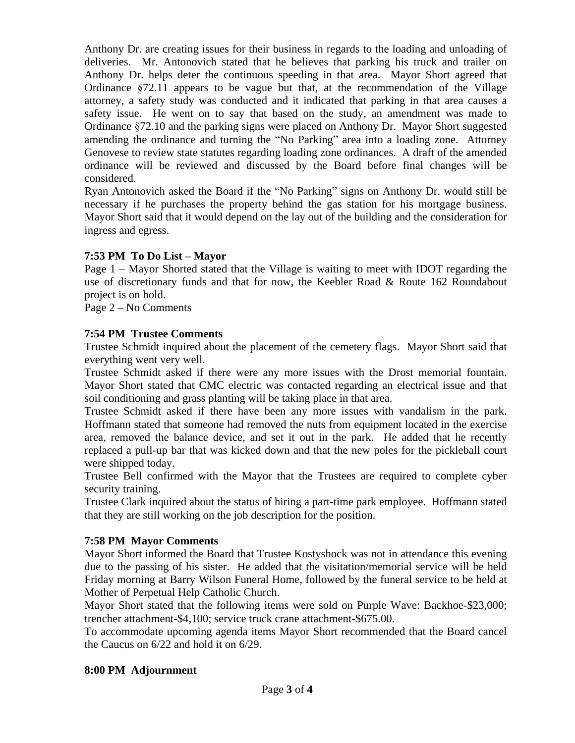Anthony Dr. are creating issues for their business in regards to the loading and unloading of deliveries. Mr. Antonovich stated that he believes that parking his truck and trailer on Anthony Dr. helps deter the continuous speeding in that area. Mayor Short agreed that Ordinance §72.11 appears to be vague but that, at the recommendation of the Village attorney, a safety study was conducted and it indicated that parking in that area causes a safety issue. He went on to say that based on the study, an amendment was made to Ordinance §72.10 and the parking signs were placed on Anthony Dr. Mayor Short suggested amending the ordinance and turning the "No Parking" area into a loading zone. Attorney Genovese to review state statutes regarding loading zone ordinances. A draft of the amended ordinance will be reviewed and discussed by the Board before final changes will be considered.

Ryan Antonovich asked the Board if the "No Parking" signs on Anthony Dr. would still be necessary if he purchases the property behind the gas station for his mortgage business. Mayor Short said that it would depend on the lay out of the building and the consideration for ingress and egress.

# **7:53 PM To Do List – Mayor**

Page 1 – Mayor Shorted stated that the Village is waiting to meet with IDOT regarding the use of discretionary funds and that for now, the Keebler Road & Route 162 Roundabout project is on hold.

Page 2 – No Comments

# **7:54 PM Trustee Comments**

Trustee Schmidt inquired about the placement of the cemetery flags. Mayor Short said that everything went very well.

Trustee Schmidt asked if there were any more issues with the Drost memorial fountain. Mayor Short stated that CMC electric was contacted regarding an electrical issue and that soil conditioning and grass planting will be taking place in that area.

Trustee Schmidt asked if there have been any more issues with vandalism in the park. Hoffmann stated that someone had removed the nuts from equipment located in the exercise area, removed the balance device, and set it out in the park. He added that he recently replaced a pull-up bar that was kicked down and that the new poles for the pickleball court were shipped today.

Trustee Bell confirmed with the Mayor that the Trustees are required to complete cyber security training.

Trustee Clark inquired about the status of hiring a part-time park employee. Hoffmann stated that they are still working on the job description for the position.

#### **7:58 PM Mayor Comments**

Mayor Short informed the Board that Trustee Kostyshock was not in attendance this evening due to the passing of his sister. He added that the visitation/memorial service will be held Friday morning at Barry Wilson Funeral Home, followed by the funeral service to be held at Mother of Perpetual Help Catholic Church.

Mayor Short stated that the following items were sold on Purple Wave: Backhoe-\$23,000; trencher attachment-\$4,100; service truck crane attachment-\$675.00.

To accommodate upcoming agenda items Mayor Short recommended that the Board cancel the Caucus on 6/22 and hold it on 6/29.

#### **8:00 PM Adjournment**